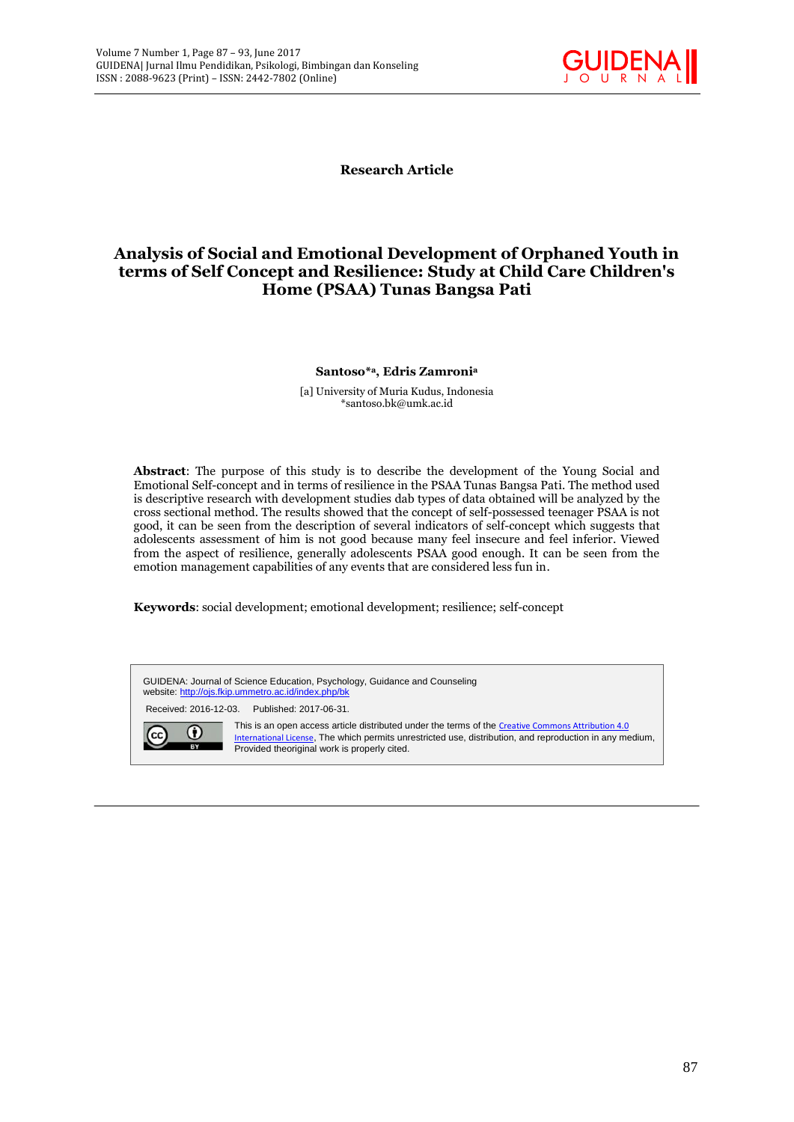

**Research Article**

# **Analysis of Social and Emotional Development of Orphaned Youth in terms of Self Concept and Resilience: Study at Child Care Children's Home (PSAA) Tunas Bangsa Pati**

#### **Santoso\* <sup>a</sup>, Edris Zamroni<sup>a</sup>**

[a] University of Muria Kudus, Indonesia \*santoso.bk@umk.ac.id

**Abstract**: The purpose of this study is to describe the development of the Young Social and Emotional Self-concept and in terms of resilience in the PSAA Tunas Bangsa Pati. The method used is descriptive research with development studies dab types of data obtained will be analyzed by the cross sectional method. The results showed that the concept of self-possessed teenager PSAA is not good, it can be seen from the description of several indicators of self-concept which suggests that adolescents assessment of him is not good because many feel insecure and feel inferior. Viewed from the aspect of resilience, generally adolescents PSAA good enough. It can be seen from the emotion management capabilities of any events that are considered less fun in.

**Keywords**: social development; emotional development; resilience; self-concept

GUIDENA: Journal of Science Education, Psychology, Guidance and Counseling website: http://ojs.fkip.ummetro.ac.id/index.php/bk Received: 2016-12-03. Published: 2017-06-31. This is an open access article distributed under the terms of the Creative Commons Attribution 4.0 0  $\left(\mathrm{cc}\right)$ International License, The which permits unrestricted use, distribution, and reproduction in any medium, **BY** Provided theoriginal work is properly cited.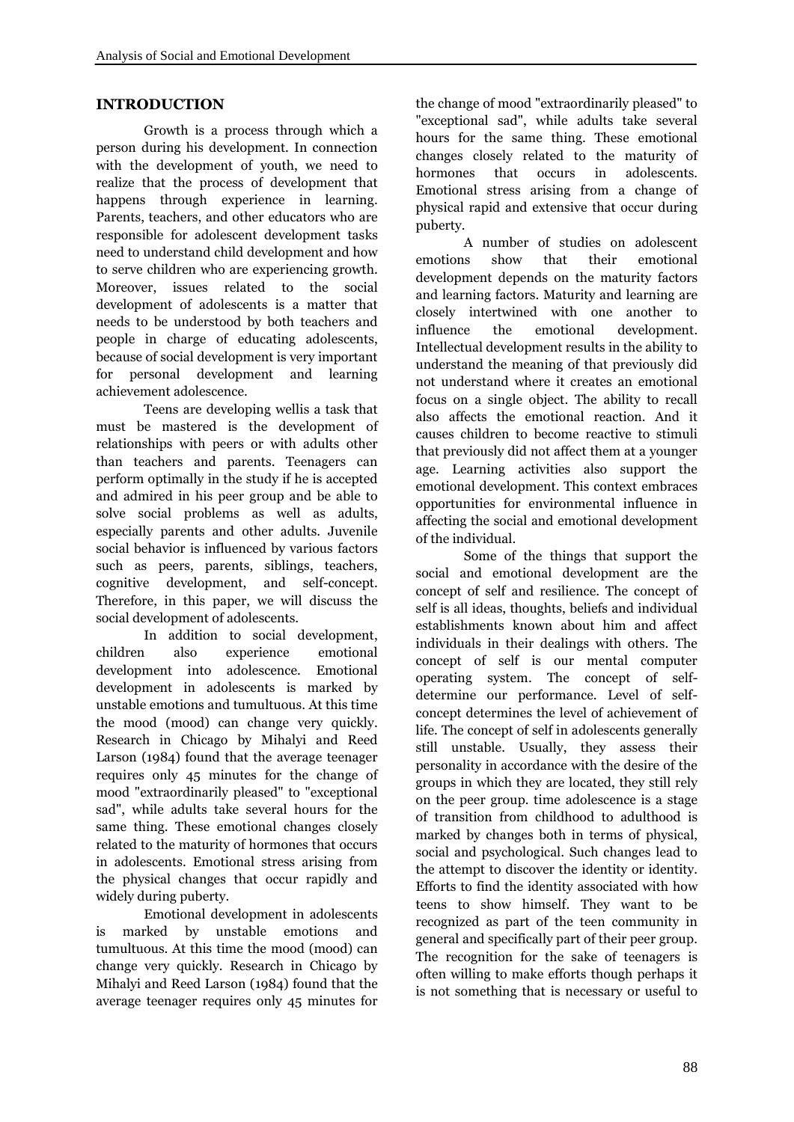### **INTRODUCTION**

Growth is a process through which a person during his development. In connection with the development of youth, we need to hormones realize that the process of development that happens through experience in learning. Parents, teachers, and other educators who are responsible for adolescent development tasks need to understand child development and how emotions to serve children who are experiencing growth. Moreover, issues related to the social development of adolescents is a matter that needs to be understood by both teachers and influence people in charge of educating adolescents, because of social development is very important for personal development and learning achievement adolescence.

Teens are developing wellis a task that must be mastered is the development of relationships with peers or with adults other than teachers and parents. Teenagers can perform optimally in the study if he is accepted and admired in his peer group and be able to solve social problems as well as adults, especially parents and other adults. Juvenile social behavior is influenced by various factors such as peers, parents, siblings, teachers, cognitive development, and self-concept. Therefore, in this paper, we will discuss the social development of adolescents.

In addition to social development, children also experience emotional development into adolescence. Emotional development in adolescents is marked by unstable emotions and tumultuous. At this time the mood (mood) can change very quickly. Research in Chicago by Mihalyi and Reed Larson (1984) found that the average teenager requires only 45 minutes for the change of mood "extraordinarily pleased" to "exceptional sad", while adults take several hours for the same thing. These emotional changes closely related to the maturity of hormones that occurs in adolescents. Emotional stress arising from the physical changes that occur rapidly and widely during puberty.

Emotional development in adolescents is marked by unstable emotions and tumultuous. At this time the mood (mood) can change very quickly. Research in Chicago by Mihalyi and Reed Larson (1984) found that the average teenager requires only 45 minutes for the change of mood "extraordinarily pleased" to "exceptional sad", while adults take several hours for the same thing. These emotional changes closely related to the maturity of that occurs in adolescents. Emotional stress arising from a change of physical rapid and extensive that occur during puberty.

A number of studies on adolescent show that their emotional development depends on the maturity factors and learning factors. Maturity and learning are closely intertwined with one another to the emotional development. Intellectual development results in the ability to understand the meaning of that previously did not understand where it creates an emotional focus on a single object. The ability to recall also affects the emotional reaction. And it causes children to become reactive to stimuli that previously did not affect them at a younger age. Learning activities also support the emotional development. This context embraces opportunities for environmental influence in affecting the social and emotional development of the individual.

Some of the things that support the social and emotional development are the concept of self and resilience. The concept of self is all ideas, thoughts, beliefs and individual establishments known about him and affect individuals in their dealings with others. The concept of self is our mental computer operating system. The concept of self determine our performance. Level of self concept determines the level of achievement of life. The concept of self in adolescents generally still unstable. Usually, they assess their personality in accordance with the desire of the groups in which they are located, they still rely on the peer group. time adolescence is a stage of transition from childhood to adulthood is marked by changes both in terms of physical, social and psychological. Such changes lead to the attempt to discover the identity or identity. Efforts to find the identity associated with how teens to show himself. They want to be recognized as part of the teen community in general and specifically part of their peer group. The recognition for the sake of teenagers is often willing to make efforts though perhaps it is not something that is necessary or useful to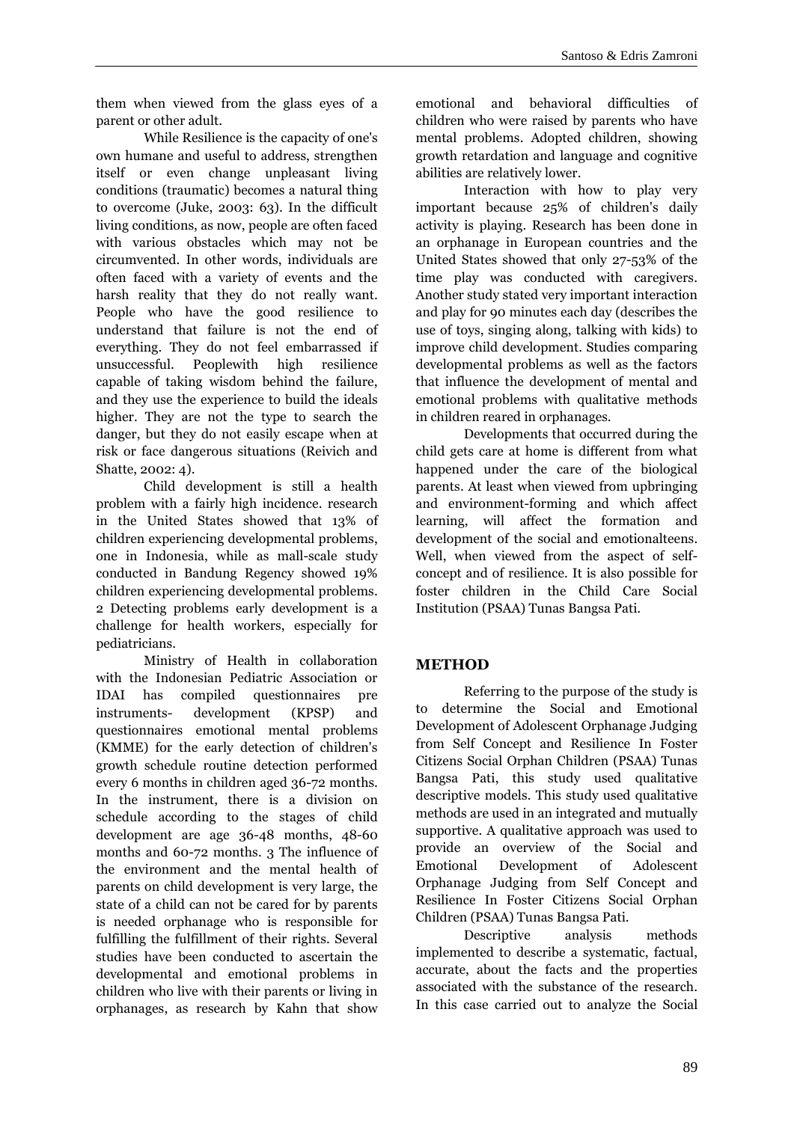them when viewed from the glass eyes of a parent or other adult.

While Resilience is the capacity of one's own humane and useful to address, strengthen itself or even change unpleasant living conditions (traumatic) becomes a natural thing to overcome (Juke, 2003: 63). In the difficult living conditions, as now, people are often faced with various obstacles which may not be circumvented. In other words, individuals are often faced with a variety of events and the harsh reality that they do not really want. People who have the good resilience to understand that failure is not the end of everything. They do not feel embarrassed if unsuccessful. Peoplewith high resilience capable of taking wisdom behind the failure, and they use the experience to build the ideals higher. They are not the type to search the danger, but they do not easily escape when at risk or face dangerous situations (Reivich and Shatte, 2002: 4).

Child development is still a health problem with a fairly high incidence. research in the United States showed that 13% of children experiencing developmental problems, one in Indonesia, while as mall-scale study conducted in Bandung Regency showed 19% children experiencing developmental problems. 2 Detecting problems early development is a challenge for health workers, especially for pediatricians.

Ministry of Health in collaboration with the Indonesian Pediatric Association or IDAI has compiled questionnaires pre instruments- development (KPSP) and questionnaires emotional mental problems (KMME) for the early detection of children's growth schedule routine detection performed every 6 months in children aged 36-72 months. In the instrument, there is a division on schedule according to the stages of child development are age 36-48 months, 48-60 months and 60-72 months. 3 The influence of the environment and the mental health of parents on child development is very large, the state of a child can not be cared for by parents is needed orphanage who is responsible for fulfilling the fulfillment of their rights. Several studies have been conducted to ascertain the developmental and emotional problems in children who live with their parents or living in orphanages, as research by Kahn that show emotional and behavioral difficulties of children who were raised by parents who have mental problems. Adopted children, showing growth retardation and language and cognitive abilities are relatively lower.

Interaction with how to play very important because 25% of children's daily activity is playing. Research has been done in an orphanage in European countries and the United States showed that only 27-53% of the time play was conducted with caregivers. Another study stated very important interaction and play for 90 minutes each day (describes the use of toys, singing along, talking with kids) to improve child development. Studies comparing developmental problems as well as the factors that influence the development of mental and emotional problems with qualitative methods in children reared in orphanages.

Developments that occurred during the child gets care at home is different from what happened under the care of the biological parents. At least when viewed from upbringing and environment-forming and which affect learning, will affect the formation and development of the social and emotionalteens. Well, when viewed from the aspect of self concept and of resilience. It is also possible for foster children in the Child Care Social Institution (PSAA) Tunas Bangsa Pati.

## **METHOD**

Referring to the purpose of the study is to determine the Social and Emotional Development of Adolescent Orphanage Judging from Self Concept and Resilience In Foster Citizens Social Orphan Children (PSAA) Tunas Bangsa Pati, this study used qualitative descriptive models. This study used qualitative methods are used in an integrated and mutually supportive. A qualitative approach was used to provide an overview of the Social and Emotional Development of Adolescent Orphanage Judging from Self Concept and Resilience In Foster Citizens Social Orphan Children (PSAA) Tunas Bangsa Pati.

Descriptive analysis methods implemented to describe a systematic, factual, accurate, about the facts and the properties associated with the substance of the research. In this case carried out to analyze the Social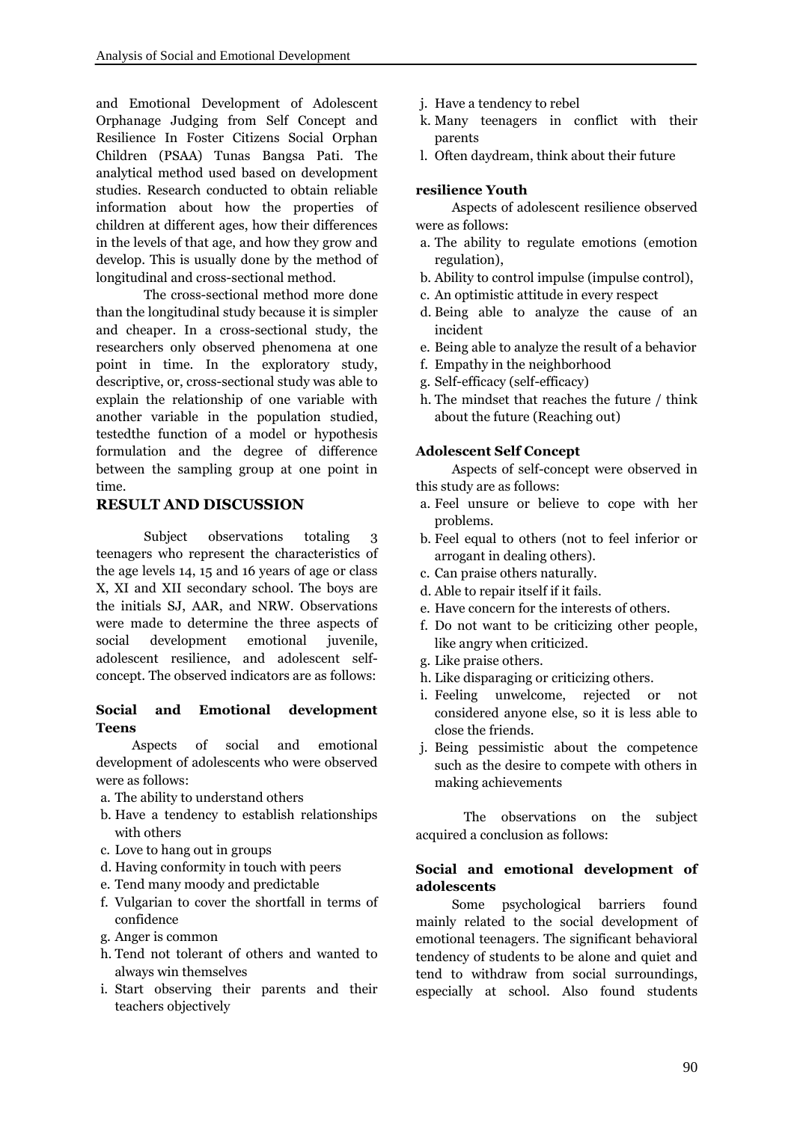and Emotional Development of Adolescent Orphanage Judging from Self Concept and Resilience In Foster Citizens Social Orphan Children (PSAA) Tunas Bangsa Pati. The analytical method used based on development studies. Research conducted to obtain reliable information about how the properties of children at different ages, how their differences in the levels of that age, and how they grow and develop. This is usually done by the method of longitudinal and cross-sectional method.

The cross-sectional method more done than the longitudinal study because it is simpler and cheaper. In a cross-sectional study, the researchers only observed phenomena at one point in time. In the exploratory study, descriptive, or, cross-sectional study was able to explain the relationship of one variable with another variable in the population studied, testedthe function of a model or hypothesis formulation and the degree of difference between the sampling group at one point in time.

## **RESULT AND DISCUSSION**

Subject observations totaling 3 teenagers who represent the characteristics of the age levels 14, 15 and 16 years of age or class X, XI and XII secondary school. The boys are the initials SJ, AAR, and NRW. Observations were made to determine the three aspects of social development emotional juvenile, adolescent resilience, and adolescent self concept. The observed indicators are as follows:

#### **Social and Emotional development Teens**

Aspects of social and emotional development of adolescents who were observed were as follows:

- a. The ability to understand others
- b. Have a tendency to establish relationships with others
- c. Love to hang out in groups
- d. Having conformity in touch with peers
- e. Tend many moody and predictable
- f. Vulgarian to cover the shortfall in terms of confidence
- g. Anger is common
- h. Tend not tolerant of others and wanted to always win themselves
- i. Start observing their parents and their teachers objectively
- j. Have a tendency to rebel
- k. Many teenagers in conflict with their parents
- l. Often daydream, think about their future

#### **resilience Youth**

Aspects of adolescent resilience observed were as follows:

- a. The ability to regulate emotions (emotion regulation),
- b. Ability to control impulse (impulse control),
- c. An optimistic attitude in every respect
- d. Being able to analyze the cause of an incident
- e. Being able to analyze the result of a behavior
- f. Empathy in the neighborhood
- g. Self-efficacy (self-efficacy)
- h. The mindset that reaches the future / think about the future (Reaching out)

#### **Adolescent Self Concept**

Aspects of self-concept were observed in this study are as follows:

- a. Feel unsure or believe to cope with her problems.
- b. Feel equal to others (not to feel inferior or arrogant in dealing others).
- c. Can praise others naturally.
- d. Able to repair itself if it fails.
- e. Have concern for the interests of others.
- f. Do not want to be criticizing other people, like angry when criticized.
- g. Like praise others.
- h. Like disparaging or criticizing others.
- i. Feeling unwelcome, rejected or not considered anyone else, so it is less able to close the friends.
- j. Being pessimistic about the competence such as the desire to compete with others in making achievements

The observations on the subject acquired a conclusion as follows:

### **Social and emotional development of adolescents**

Some psychological barriers found mainly related to the social development of emotional teenagers. The significant behavioral tendency of students to be alone and quiet and tend to withdraw from social surroundings, especially at school. Also found students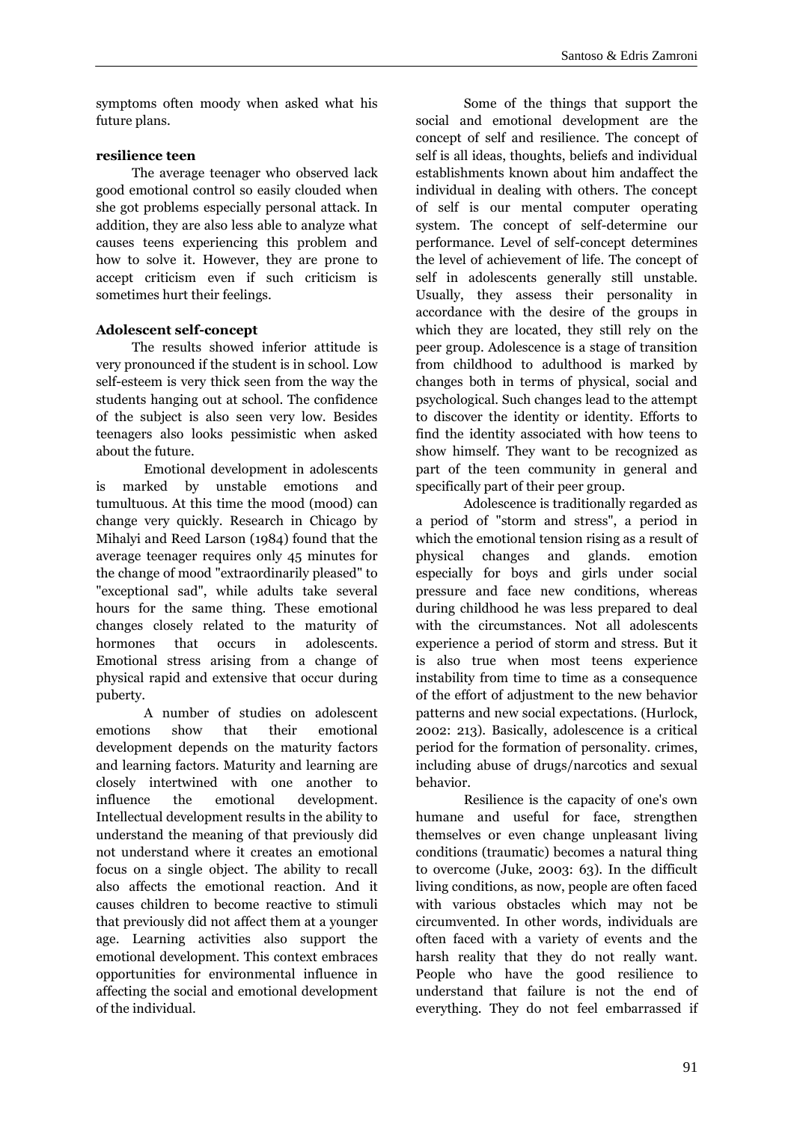symptoms often moody when asked what his future plans.

### **resilience teen**

The average teenager who observed lack good emotional control so easily clouded when she got problems especially personal attack. In addition, they are also less able to analyze what causes teens experiencing this problem and how to solve it. However, they are prone to accept criticism even if such criticism is sometimes hurt their feelings.

## **Adolescent self-concept**

The results showed inferior attitude is very pronounced if the student is in school. Low self-esteem is very thick seen from the way the students hanging out at school. The confidence of the subject is also seen very low. Besides teenagers also looks pessimistic when asked about the future.

Emotional development in adolescents is marked by unstable emotions and tumultuous. At this time the mood (mood) can change very quickly. Research in Chicago by Mihalyi and Reed Larson (1984) found that the average teenager requires only 45 minutes for the change of mood "extraordinarily pleased" to "exceptional sad", while adults take several hours for the same thing. These emotional changes closely related to the maturity of hormones that occurs in adolescents. Emotional stress arising from a change of physical rapid and extensive that occur during puberty.

A number of studies on adolescent emotions show that their emotional development depends on the maturity factors and learning factors. Maturity and learning are closely intertwined with one another to influence the emotional development. Intellectual development results in the ability to understand the meaning of that previously did not understand where it creates an emotional focus on a single object. The ability to recall also affects the emotional reaction. And it causes children to become reactive to stimuli that previously did not affect them at a younger age. Learning activities also support the emotional development. This context embraces opportunities for environmental influence in affecting the social and emotional development of the individual.

Some of the things that support the social and emotional development are the concept of self and resilience. The concept of self is all ideas, thoughts, beliefs and individual establishments known about him andaffect the individual in dealing with others. The concept of self is our mental computer operating system. The concept of self-determine our performance. Level of self-concept determines the level of achievement of life. The concept of self in adolescents generally still unstable. Usually, they assess their personality in accordance with the desire of the groups in which they are located, they still rely on the peer group. Adolescence is a stage of transition from childhood to adulthood is marked by changes both in terms of physical, social and psychological. Such changes lead to the attempt to discover the identity or identity. Efforts to find the identity associated with how teens to show himself. They want to be recognized as part of the teen community in general and specifically part of their peer group.

Adolescence is traditionally regarded as a period of "storm and stress", a period in which the emotional tension rising as a result of changes and glands. emotion especially for boys and girls under social pressure and face new conditions, whereas during childhood he was less prepared to deal with the circumstances. Not all adolescents experience a period of storm and stress. But it is also true when most teens experience instability from time to time as a consequence of the effort of adjustment to the new behavior patterns and new social expectations. (Hurlock, 2002: 213). Basically, adolescence is a critical period for the formation of personality. crimes, including abuse of drugs/narcotics and sexual behavior.

Resilience is the capacity of one's own humane and useful for face, strengthen themselves or even change unpleasant living conditions (traumatic) becomes a natural thing to overcome (Juke, 2003: 63). In the difficult living conditions, as now, people are often faced with various obstacles which may not be circumvented. In other words, individuals are often faced with a variety of events and the harsh reality that they do not really want. People who have the good resilience to understand that failure is not the end of everything. They do not feel embarrassed if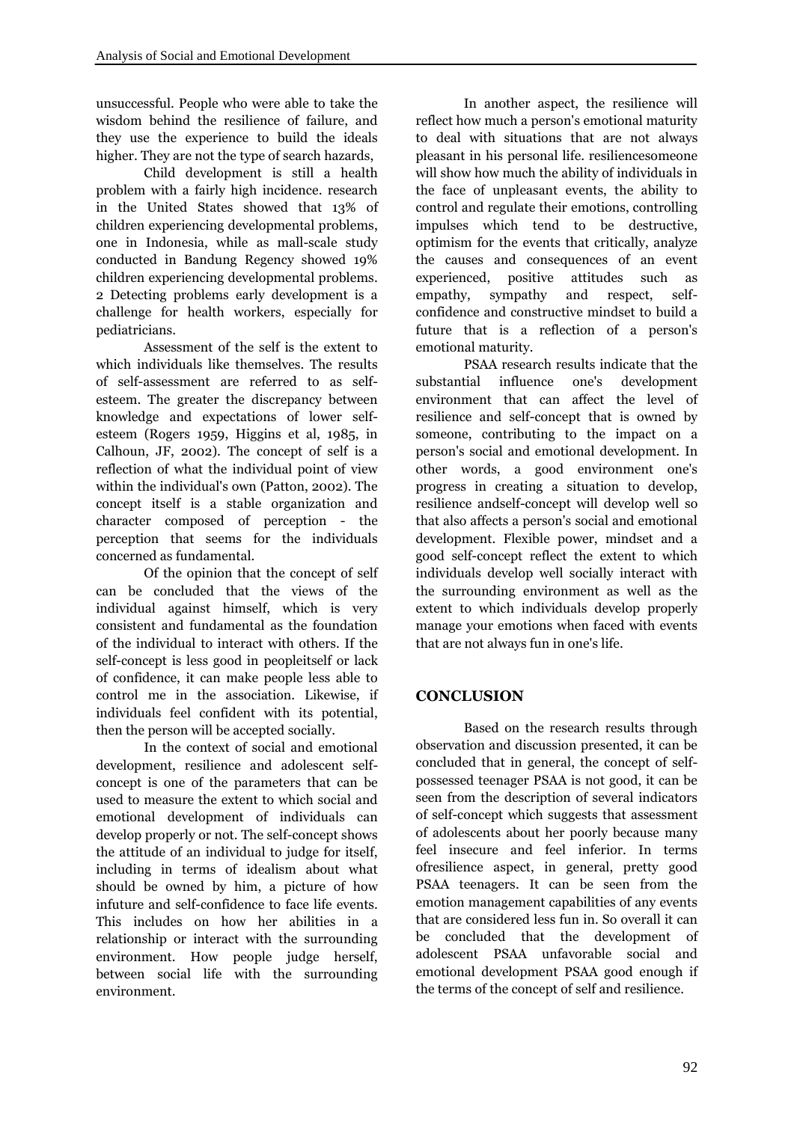unsuccessful. People who were able to take the wisdom behind the resilience of failure, and they use the experience to build the ideals higher. They are not the type of search hazards,

Child development is still a health problem with a fairly high incidence. research in the United States showed that 13% of children experiencing developmental problems, one in Indonesia, while as mall-scale study conducted in Bandung Regency showed 19% children experiencing developmental problems. 2 Detecting problems early development is a empathy, challenge for health workers, especially for pediatricians.

Assessment of the self is the extent to which individuals like themselves. The results of self-assessment are referred to as self esteem. The greater the discrepancy between knowledge and expectations of lower self esteem (Rogers 1959, Higgins et al, 1985, in Calhoun, JF, 2002). The concept of self is a reflection of what the individual point of view within the individual's own (Patton, 2002). The concept itself is a stable organization and character composed of perception - the perception that seems for the individuals concerned as fundamental.

Of the opinion that the concept of self can be concluded that the views of the individual against himself, which is very consistent and fundamental as the foundation of the individual to interact with others. If the self-concept is less good in peopleitself or lack of confidence, it can make people less able to control me in the association. Likewise, if individuals feel confident with its potential, then the person will be accepted socially.

In the context of social and emotional development, resilience and adolescent self concept is one of the parameters that can be used to measure the extent to which social and emotional development of individuals can develop properly or not. The self-concept shows the attitude of an individual to judge for itself, including in terms of idealism about what should be owned by him, a picture of how infuture and self-confidence to face life events. This includes on how her abilities in a relationship or interact with the surrounding environment. How people judge herself, between social life with the surrounding environment.

In another aspect, the resilience will reflect how much a person's emotional maturity to deal with situations that are not always pleasant in his personal life. resiliencesomeone will show how much the ability of individuals in the face of unpleasant events, the ability to control and regulate their emotions, controlling impulses which tend to be destructive, optimism for the events that critically, analyze the causes and consequences of an event experienced, positive attitudes such as sympathy and respect, selfconfidence and constructive mindset to build a future that is a reflection of a person's emotional maturity.

PSAA research results indicate that the influence one's development environment that can affect the level of resilience and self-concept that is owned by someone, contributing to the impact on a person's social and emotional development. In other words, a good environment one's progress in creating a situation to develop, resilience andself-concept will develop well so that also affects a person's social and emotional development. Flexible power, mindset and a good self-concept reflect the extent to which individuals develop well socially interact with the surrounding environment as well as the extent to which individuals develop properly manage your emotions when faced with events that are not always fun in one's life.

# **CONCLUSION**

Based on the research results through observation and discussion presented, it can be concluded that in general, the concept of self possessed teenager PSAA is not good, it can be seen from the description of several indicators of self-concept which suggests that assessment of adolescents about her poorly because many feel insecure and feel inferior. In terms ofresilience aspect, in general, pretty good PSAA teenagers. It can be seen from the emotion management capabilities of any events that are considered less fun in. So overall it can be concluded that the development of adolescent PSAA unfavorable social and emotional development PSAA good enough if the terms of the concept of self and resilience.